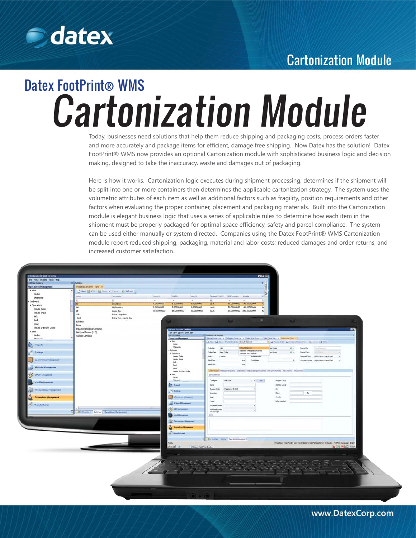

## Cartonization Module

# Cartonization Module Datex FootPrint® WMS

Today, businesses need solutions that help them reduce shipping and packaging costs, process orders faster and more accurately and package items for efficient, damage free shipping. Now Datex has the solution! Datex FootPrint® WMS now provides an optional Cartonization module with sophisticated business logic and decision making, designed to take the inaccuracy, waste and damages out of packaging.

Here is how it works. Cartonization logic executes during shipment processing, determines if the shipment will be split into one or more containers then determines the applicable cartonization strategy. The system uses the volumetric attributes of each item as well as additional factors such as fragility, position requirements and other factors when evaluating the proper container, placement and packaging materials. Built into the Cartonization module is elegant business logic that uses a series of applicable rules to determine how each item in the shipment must be properly packaged for optimal space efficiency, safety and parcel compliance. The system can be used either manually or system directed. Companies using the Datex FootPrint® WMS Cartonization module report reduced shipping, packaging, material and labor costs; reduced damages and order returns, and increased customer satisfaction.

| <b>Dates FootPrint Desitop</b>     |                                                        |                                     |             |                                                  |                         |                                         |                                                 |                                    | <b>PERMIT</b>                                                                                                                                                                                                                                                                                                                                                                                                                                                |                                                                                                                        |              |                      |                                                                                                 |               |
|------------------------------------|--------------------------------------------------------|-------------------------------------|-------------|--------------------------------------------------|-------------------------|-----------------------------------------|-------------------------------------------------|------------------------------------|--------------------------------------------------------------------------------------------------------------------------------------------------------------------------------------------------------------------------------------------------------------------------------------------------------------------------------------------------------------------------------------------------------------------------------------------------------------|------------------------------------------------------------------------------------------------------------------------|--------------|----------------------|-------------------------------------------------------------------------------------------------|---------------|
| <b>Ble View Options Tools Help</b> |                                                        |                                     |             |                                                  |                         |                                         |                                                 |                                    |                                                                                                                                                                                                                                                                                                                                                                                                                                                              |                                                                                                                        |              |                      |                                                                                                 |               |
| soffrick Explorer                  | 0 Settings                                             |                                     |             |                                                  |                         |                                         |                                                 |                                    |                                                                                                                                                                                                                                                                                                                                                                                                                                                              |                                                                                                                        |              |                      |                                                                                                 |               |
| <b>Operations Management</b>       | Shipping Container Types 14                            |                                     |             |                                                  |                         |                                         |                                                 |                                    |                                                                                                                                                                                                                                                                                                                                                                                                                                                              |                                                                                                                        |              |                      |                                                                                                 |               |
| a View<br>Orders                   |                                                        | Diew B cot El Ser X Crest & Refresh |             |                                                  |                         |                                         |                                                 |                                    |                                                                                                                                                                                                                                                                                                                                                                                                                                                              |                                                                                                                        |              |                      |                                                                                                 |               |
|                                    | <b>Nadve</b>                                           | Description                         | Length      | Width                                            | Height                  |                                         | Dimensons/ON: FIREspecty Weight                 |                                    | W                                                                                                                                                                                                                                                                                                                                                                                                                                                            |                                                                                                                        |              |                      |                                                                                                 |               |
| <b>Shipments</b><br>Outbound       |                                                        | 取                                   | $\sim$      | $\sim$                                           | $\sim$                  | 拟                                       | $\sim$                                          | $\sim$                             | к                                                                                                                                                                                                                                                                                                                                                                                                                                                            |                                                                                                                        |              |                      |                                                                                                 |               |
| a Operations                       | isa.                                                   | <b>Small Box</b>                    | 5.00000000  | 5.00000000                                       | 5.00000000              | <b>Buch</b>                             |                                                 | 80.00000000 100.00000000           | P <sub>X</sub>                                                                                                                                                                                                                                                                                                                                                                                                                                               |                                                                                                                        |              |                      |                                                                                                 |               |
| Create Order                       | MB                                                     | Medium Box                          | 8.00000000  | 8.00000000                                       | 8.00000000              | Inch                                    |                                                 | 80.00000000 150.00000000           | R                                                                                                                                                                                                                                                                                                                                                                                                                                                            |                                                                                                                        |              |                      |                                                                                                 |               |
| Create Wave                        | LB                                                     | Lerge Box                           | 10.00000000 | 10.00000000                                      | 10.00000000             | Inch                                    |                                                 | 80.00000000 200.00000000           | $\mathbf{p}_0$                                                                                                                                                                                                                                                                                                                                                                                                                                               |                                                                                                                        |              |                      |                                                                                                 |               |
| Pick                               | 35.8                                                   | Extra Large Box                     |             |                                                  |                         |                                         |                                                 |                                    |                                                                                                                                                                                                                                                                                                                                                                                                                                                              |                                                                                                                        |              |                      |                                                                                                 |               |
| Padr.                              | XXB                                                    | Extra Extra Large Box               |             |                                                  |                         |                                         | ه                                               |                                    | $\mathcal{L} = \mathcal{L} = \mathcal{L} = \mathcal{L} = \mathcal{L} = \mathcal{L} = \mathcal{L} = \mathcal{L} = \mathcal{L} = \mathcal{L} = \mathcal{L} = \mathcal{L} = \mathcal{L} = \mathcal{L} = \mathcal{L} = \mathcal{L} = \mathcal{L} = \mathcal{L} = \mathcal{L} = \mathcal{L} = \mathcal{L} = \mathcal{L} = \mathcal{L} = \mathcal{L} = \mathcal{L} = \mathcal{L} = \mathcal{L} = \mathcal{L} = \mathcal{L} = \mathcal{L} = \mathcal{L} = \mathcal$ |                                                                                                                        |              |                      |                                                                                                 |               |
| Load                               | <b>Bulk Box</b>                                        |                                     |             |                                                  |                         |                                         |                                                 |                                    |                                                                                                                                                                                                                                                                                                                                                                                                                                                              |                                                                                                                        | <b>COA</b>   |                      |                                                                                                 |               |
| Create 3rd Party Order             | Drum                                                   |                                     |             |                                                  |                         |                                         |                                                 |                                    |                                                                                                                                                                                                                                                                                                                                                                                                                                                              |                                                                                                                        |              |                      |                                                                                                 |               |
| a View                             | Insulated Shipping Container<br>Unit Load Device (ULD) |                                     |             | <b>IF Dalen FootPred Desktop</b>                 |                         |                                         |                                                 |                                    |                                                                                                                                                                                                                                                                                                                                                                                                                                                              |                                                                                                                        |              |                      |                                                                                                 |               |
| Orders                             | Custom Container                                       |                                     |             | the they dollars Look tods<br><b>Information</b> |                         | # Downton Hangerert                     |                                                 |                                    |                                                                                                                                                                                                                                                                                                                                                                                                                                                              |                                                                                                                        |              |                      |                                                                                                 |               |
| <b>Giovanni</b>                    |                                                        |                                     |             | <b>Operations Management</b>                     |                         |                                         |                                                 |                                    |                                                                                                                                                                                                                                                                                                                                                                                                                                                              | Mond Drive Life, X (Outbund Drive Life, X (See Orle Driv, X (See Orle Driv, X 394 Orle Driv, X )                       |              |                      |                                                                                                 |               |
|                                    |                                                        |                                     |             | # Nave<br><b>Circlers</b>                        |                         |                                         | D New Ed Sale: Procho Shareper Default Shipwest |                                    |                                                                                                                                                                                                                                                                                                                                                                                                                                                              |                                                                                                                        |              |                      |                                                                                                 |               |
| <b>Beport</b>                      |                                                        |                                     |             | <b>Shements</b>                                  |                         |                                         |                                                 | Dringt Storest                     |                                                                                                                                                                                                                                                                                                                                                                                                                                                              |                                                                                                                        |              |                      |                                                                                                 |               |
|                                    |                                                        |                                     |             | Outbound                                         |                         | Ceder No.<br>1008                       |                                                 | Shipment volfriulitatie Contrament |                                                                                                                                                                                                                                                                                                                                                                                                                                                              | <b>Net Poods</b>                                                                                                       | <b>设计</b>    | <b>Drivered By</b>   | <b>Torn Datument</b>                                                                            |               |
| <sup>2</sup> Settings              |                                                        |                                     |             | $+$ Operations                                   |                         | Celler Class Sales Order                |                                                 | Shipment per Container             |                                                                                                                                                                                                                                                                                                                                                                                                                                                              | <b>Tast Foods</b>                                                                                                      | $\Theta$ (+) | <b>Expensed Date</b> |                                                                                                 |               |
|                                    |                                                        |                                     |             | <b>Create Order</b><br><b>Create Wave</b>        |                         | Status:                                 | Created                                         |                                    | <b>Automotive</b> No.                                                                                                                                                                                                                                                                                                                                                                                                                                        |                                                                                                                        |              | Expected Dide:       | 07/27/2012 12:00:00 AP                                                                          |               |
| Warehouse Massower                 |                                                        |                                     |             | <b>Pek</b>                                       |                         | Total Cost                              |                                                 | Total Units<br>0.00                |                                                                                                                                                                                                                                                                                                                                                                                                                                                              |                                                                                                                        |              |                      | Completion Date 37/27/2012 12:00:00 AM                                                          |               |
|                                    |                                                        |                                     |             | Fail.                                            |                         | Total Frice                             |                                                 | 0.00                               |                                                                                                                                                                                                                                                                                                                                                                                                                                                              |                                                                                                                        |              |                      |                                                                                                 |               |
| Material Hanageers                 |                                                        |                                     |             | town<br>Create Std Party Order                   |                         |                                         |                                                 |                                    |                                                                                                                                                                                                                                                                                                                                                                                                                                                              | Chite Header   Outhand Maxwels   Only Lines   Outhand Shpinest Details   Use Defined Polity   Task Halvy   Altachwards |              |                      |                                                                                                 |               |
|                                    |                                                        |                                     |             | $4$ Views                                        |                         | Contact Details                         |                                                 |                                    |                                                                                                                                                                                                                                                                                                                                                                                                                                                              |                                                                                                                        |              |                      |                                                                                                 |               |
| SE SPLManagement                   |                                                        |                                     |             | Orders                                           |                         |                                         |                                                 |                                    |                                                                                                                                                                                                                                                                                                                                                                                                                                                              |                                                                                                                        |              |                      |                                                                                                 |               |
| Yard Management                    |                                                        |                                     |             | <b>Thirmani</b>                                  |                         | Corolgians                              | ard-1004                                        |                                    | $V =$ that                                                                                                                                                                                                                                                                                                                                                                                                                                                   | Address Line 1                                                                                                         |              |                      |                                                                                                 |               |
|                                    |                                                        |                                     |             | <b>SEE Reports</b>                               |                         | <b>None</b>                             |                                                 |                                    |                                                                                                                                                                                                                                                                                                                                                                                                                                                              | Address Dre 2                                                                                                          |              |                      |                                                                                                 |               |
| Procurement Management             |                                                        |                                     |             |                                                  |                         | Contact Code                            | Slapping: ord-0304                              |                                    |                                                                                                                                                                                                                                                                                                                                                                                                                                                              | Or                                                                                                                     |              |                      |                                                                                                 |               |
|                                    |                                                        |                                     |             | <sup>25</sup> Settings                           |                         | Atletice                                |                                                 |                                    |                                                                                                                                                                                                                                                                                                                                                                                                                                                              | <b>Ziate</b>                                                                                                           |              | 2a                   |                                                                                                 |               |
| ă<br><b>Operations Management</b>  |                                                        |                                     |             | Washings Naugment                                |                         | final                                   |                                                 |                                    |                                                                                                                                                                                                                                                                                                                                                                                                                                                              | Castley                                                                                                                |              |                      |                                                                                                 |               |
|                                    |                                                        |                                     |             |                                                  |                         | Phone                                   |                                                 |                                    |                                                                                                                                                                                                                                                                                                                                                                                                                                                              | <b>Italwerce No.</b>                                                                                                   |              |                      |                                                                                                 |               |
| <b>Manufactures</b>                |                                                        |                                     |             | <b>Co. Material Monagement</b>                   |                         | <b>Traferred Carter</b>                 |                                                 |                                    |                                                                                                                                                                                                                                                                                                                                                                                                                                                              |                                                                                                                        |              |                      |                                                                                                 |               |
|                                    |                                                        |                                     |             | <b>SECTIONS</b>                                  |                         |                                         |                                                 |                                    |                                                                                                                                                                                                                                                                                                                                                                                                                                                              |                                                                                                                        |              |                      |                                                                                                 |               |
|                                    | - Thy Foother Settings Operations Management           |                                     |             |                                                  |                         | <b>Preferred Center</b><br>Service Type |                                                 |                                    |                                                                                                                                                                                                                                                                                                                                                                                                                                                              |                                                                                                                        |              |                      |                                                                                                 |               |
|                                    |                                                        |                                     |             | <b>Tangana Wanda</b>                             |                         | <b>Police</b>                           |                                                 |                                    |                                                                                                                                                                                                                                                                                                                                                                                                                                                              |                                                                                                                        |              |                      |                                                                                                 |               |
|                                    |                                                        |                                     |             |                                                  |                         |                                         |                                                 |                                    |                                                                                                                                                                                                                                                                                                                                                                                                                                                              |                                                                                                                        |              |                      |                                                                                                 |               |
|                                    |                                                        |                                     |             | <b>Procurement Management</b>                    |                         |                                         |                                                 |                                    |                                                                                                                                                                                                                                                                                                                                                                                                                                                              |                                                                                                                        |              |                      |                                                                                                 |               |
|                                    |                                                        |                                     |             | Operations Management                            |                         |                                         |                                                 |                                    |                                                                                                                                                                                                                                                                                                                                                                                                                                                              |                                                                                                                        |              |                      |                                                                                                 |               |
|                                    |                                                        |                                     |             |                                                  |                         |                                         |                                                 |                                    |                                                                                                                                                                                                                                                                                                                                                                                                                                                              |                                                                                                                        |              |                      |                                                                                                 |               |
|                                    |                                                        |                                     |             | Hondahang                                        |                         |                                         |                                                 |                                    |                                                                                                                                                                                                                                                                                                                                                                                                                                                              |                                                                                                                        |              |                      |                                                                                                 |               |
|                                    |                                                        |                                     |             |                                                  |                         |                                         | The Further Settings   Operations Management    |                                    |                                                                                                                                                                                                                                                                                                                                                                                                                                                              |                                                                                                                        |              |                      |                                                                                                 |               |
|                                    |                                                        |                                     |             | <b>Veely</b>                                     |                         |                                         |                                                 |                                    |                                                                                                                                                                                                                                                                                                                                                                                                                                                              |                                                                                                                        |              |                      | Warehouse Dist Foods (tam David Centarem (DATEX) Eastwort   Database FusiFirm (Language English |               |
|                                    |                                                        |                                     |             | aristant ar                                      | Tur Dates Footbyic Deck |                                         |                                                 |                                    |                                                                                                                                                                                                                                                                                                                                                                                                                                                              |                                                                                                                        |              |                      |                                                                                                 | 图 5% 传给口 600m |
|                                    |                                                        |                                     |             |                                                  |                         |                                         |                                                 |                                    |                                                                                                                                                                                                                                                                                                                                                                                                                                                              |                                                                                                                        |              |                      |                                                                                                 |               |
|                                    |                                                        |                                     |             |                                                  |                         |                                         |                                                 |                                    |                                                                                                                                                                                                                                                                                                                                                                                                                                                              |                                                                                                                        |              |                      |                                                                                                 |               |
|                                    |                                                        |                                     |             |                                                  |                         |                                         |                                                 |                                    |                                                                                                                                                                                                                                                                                                                                                                                                                                                              |                                                                                                                        |              |                      |                                                                                                 |               |
|                                    |                                                        |                                     |             |                                                  |                         |                                         |                                                 |                                    |                                                                                                                                                                                                                                                                                                                                                                                                                                                              |                                                                                                                        |              |                      |                                                                                                 |               |
|                                    |                                                        |                                     |             |                                                  |                         |                                         |                                                 |                                    |                                                                                                                                                                                                                                                                                                                                                                                                                                                              |                                                                                                                        |              |                      |                                                                                                 |               |
|                                    |                                                        |                                     |             |                                                  |                         |                                         |                                                 |                                    |                                                                                                                                                                                                                                                                                                                                                                                                                                                              |                                                                                                                        |              |                      |                                                                                                 |               |
|                                    |                                                        |                                     |             |                                                  |                         |                                         |                                                 |                                    |                                                                                                                                                                                                                                                                                                                                                                                                                                                              |                                                                                                                        |              |                      |                                                                                                 |               |
|                                    |                                                        |                                     |             |                                                  |                         |                                         |                                                 |                                    |                                                                                                                                                                                                                                                                                                                                                                                                                                                              |                                                                                                                        |              |                      |                                                                                                 |               |
|                                    |                                                        |                                     |             |                                                  |                         |                                         |                                                 |                                    |                                                                                                                                                                                                                                                                                                                                                                                                                                                              |                                                                                                                        |              |                      |                                                                                                 |               |
|                                    |                                                        |                                     |             |                                                  |                         |                                         |                                                 |                                    |                                                                                                                                                                                                                                                                                                                                                                                                                                                              |                                                                                                                        |              |                      |                                                                                                 |               |
|                                    |                                                        |                                     |             |                                                  |                         |                                         |                                                 |                                    |                                                                                                                                                                                                                                                                                                                                                                                                                                                              |                                                                                                                        |              |                      |                                                                                                 |               |
|                                    |                                                        |                                     |             |                                                  |                         |                                         |                                                 |                                    |                                                                                                                                                                                                                                                                                                                                                                                                                                                              |                                                                                                                        |              |                      |                                                                                                 |               |